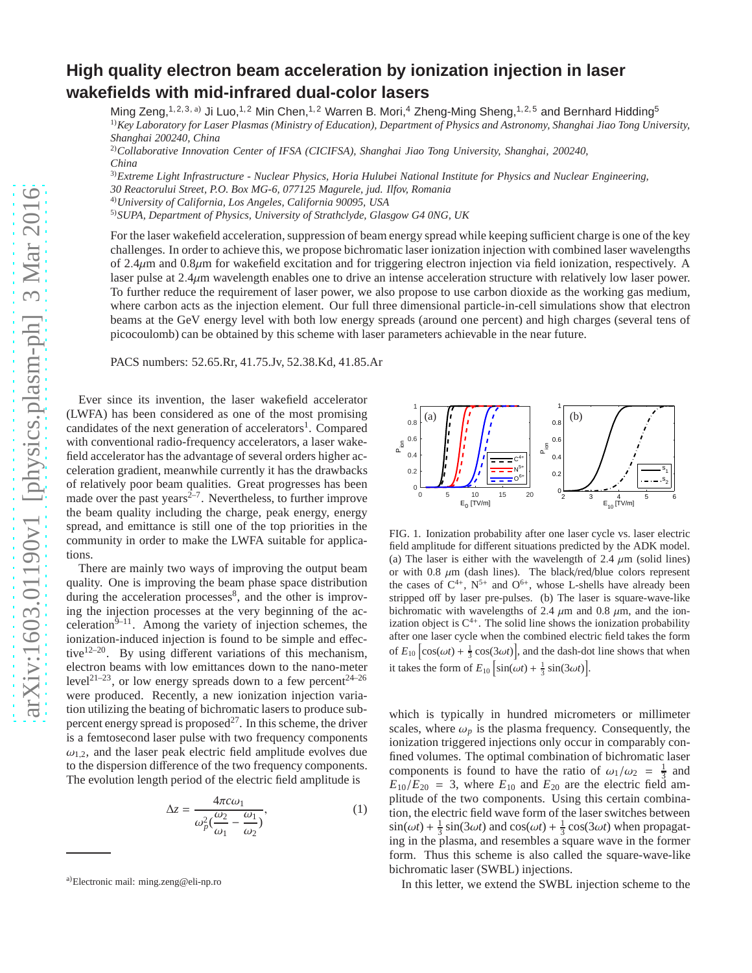## **High quality electron beam acceleration by ionization injection in laser wakefields with mid-infrared dual-color lasers** Ming Zeng,<sup>1, 2, 3, a)</sup> Ji Luo,<sup>1, 2</sup> Min Chen,<sup>1, 2</sup> Warren B. Mori,<sup>4</sup> Zheng-Ming Sheng,<sup>1, 2, 5</sup> and Bernhard Hidding<sup>5</sup> 1)*Key Laboratory for Laser Plasmas (Ministry of Education), Department of Physics and Astronomy, Shanghai Jiao Tong University,*

*Shanghai 200240, China* 2)*Collaborative Innovation Center of IFSA (CICIFSA), Shanghai Jiao Tong University, Shanghai, 200240,*

*China*

3)*Extreme Light Infrastructure - Nuclear Physics, Horia Hulubei National Institute for Physics and Nuclear Engineering,*

*30 Reactorului Street, P.O. Box MG-6, 077125 Magurele, jud. Ilfov, Romania*

4)*University of California, Los Angeles, California 90095, USA*

5)*SUPA, Department of Physics, University of Strathclyde, Glasgow G4 0NG, UK*

For the laser wakefield acceleration, suppression of beam energy spread while keeping sufficient charge is one of the key challenges. In order to achieve this, we propose bichromatic laser ionization injection with combined laser wavelengths of 2.4µm and 0.8µm for wakefield excitation and for triggering electron injection via field ionization, respectively. A laser pulse at 2.4µm wavelength enables one to drive an intense acceleration structure with relatively low laser power. To further reduce the requirement of laser power, we also propose to use carbon dioxide as the working gas medium, where carbon acts as the injection element. Our full three dimensional particle-in-cell simulations show that electron beams at the GeV energy level with both low energy spreads (around one percent) and high charges (several tens of picocoulomb) can be obtained by this scheme with laser parameters achievable in the near future.

PACS numbers: 52.65.Rr, 41.75.Jv, 52.38.Kd, 41.85.Ar

Ever since its invention, the laser wakefield accelerator (LWFA) has been considered as one of the most promising candidates of the next generation of accelerators<sup>1</sup>. Compared with conventional radio-frequency accelerators, a laser wakefield accelerator has the advantage of several orders higher acceleration gradient, meanwhile currently it has the drawbacks of relatively poor beam qualities. Great progresses has been made over the past years $2^{-7}$ . Nevertheless, to further improve the beam quality including the charge, peak energy, energy spread, and emittance is still one of the top priorities in the community in order to make the LWFA suitable for applications.

There are mainly two ways of improving the output beam quality. One is improving the beam phase space distribution during the acceleration processes<sup>8</sup>, and the other is improving the injection processes at the very beginning of the acceleration $9-11$ . Among the variety of injection schemes, the ionization-induced injection is found to be simple and effective $12-20$ . By using different variations of this mechanism, electron beams with low emittances down to the nano-meter level<sup>21–23</sup>, or low energy spreads down to a few percent<sup>24–26</sup> were produced. Recently, a new ionization injection variation utilizing the beating of bichromatic lasers to produce subpercent energy spread is proposed $^{27}$ . In this scheme, the driver is a femtosecond laser pulse with two frequency components  $\omega_1$ , and the laser peak electric field amplitude evolves due to the dispersion difference of the two frequency components. The evolution length period of the electric field amplitude is

$$
\Delta z = \frac{4\pi c\omega_1}{\omega_p^2(\frac{\omega_2}{\omega_1} - \frac{\omega_1}{\omega_2})},\tag{1}
$$



FIG. 1. Ionization probability after one laser cycle vs. laser electric field amplitude for different situations predicted by the ADK model. (a) The laser is either with the wavelength of 2.4  $\mu$ m (solid lines) or with 0.8  $\mu$ m (dash lines). The black/red/blue colors represent the cases of  $C^{4+}$ ,  $N^{5+}$  and  $O^{6+}$ , whose L-shells have already been stripped off by laser pre-pulses. (b) The laser is square-wave-like bichromatic with wavelengths of 2.4  $\mu$ m and 0.8  $\mu$ m, and the ionization object is  $C^{4+}$ . The solid line shows the ionization probability after one laser cycle when the combined electric field takes the form of  $E_{10}$   $\left[\cos(\omega t) + \frac{1}{3}\cos(3\omega t)\right]$ , and the dash-dot line shows that when it takes the form of  $E_{10} \left[ \sin(\omega t) + \frac{1}{3} \sin(3\omega t) \right]$ .

which is typically in hundred micrometers or millimeter scales, where  $\omega_p$  is the plasma frequency. Consequently, the ionization triggered injections only occur in comparably confined volumes. The optimal combination of bichromatic laser components is found to have the ratio of  $\omega_1/\omega_2 = \frac{1}{3}$  and  $E_{10}/E_{20} = 3$ , where  $E_{10}$  and  $E_{20}$  are the electric field amplitude of the two components. Using this certain combination, the electric field wave form of the laser switches between  $\sin(\omega t) + \frac{1}{3}\sin(3\omega t)$  and  $\cos(\omega t) + \frac{1}{3}\cos(3\omega t)$  when propagating in the plasma, and resembles a square wave in the former form. Thus this scheme is also called the square-wave-like bichromatic laser (SWBL) injections.

In this letter, we extend the SWBL injection scheme to the

a)Electronic mail: ming.zeng@eli-np.ro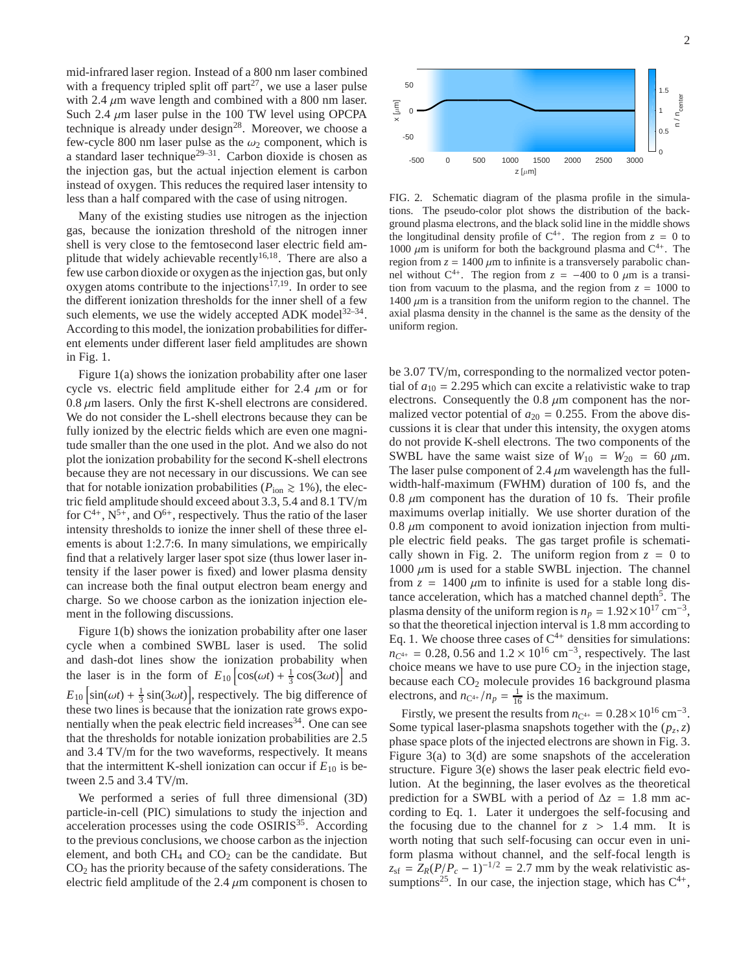mid-infrared laser region. Instead of a 800 nm laser combined with a frequency tripled split off part<sup>27</sup>, we use a laser pulse with 2.4  $\mu$ m wave length and combined with a 800 nm laser. Such 2.4  $\mu$ m laser pulse in the 100 TW level using OPCPA technique is already under design<sup>28</sup>. Moreover, we choose a few-cycle 800 nm laser pulse as the  $\omega_2$  component, which is a standard laser technique<sup>29–31</sup>. Carbon dioxide is chosen as the injection gas, but the actual injection element is carbon instead of oxygen. This reduces the required laser intensity to less than a half compared with the case of using nitrogen.

Many of the existing studies use nitrogen as the injection gas, because the ionization threshold of the nitrogen inner shell is very close to the femtosecond laser electric field amplitude that widely achievable recently<sup>16,18</sup>. There are also a few use carbon dioxide or oxygen as the injection gas, but only oxygen atoms contribute to the injections<sup>17,19</sup>. In order to see the different ionization thresholds for the inner shell of a few such elements, we use the widely accepted ADK model $32-34$ . According to this model, the ionization probabilities for different elements under different laser field amplitudes are shown in Fig. 1.

Figure 1(a) shows the ionization probability after one laser cycle vs. electric field amplitude either for 2.4  $\mu$ m or for  $0.8 \mu$ m lasers. Only the first K-shell electrons are considered. We do not consider the L-shell electrons because they can be fully ionized by the electric fields which are even one magnitude smaller than the one used in the plot. And we also do not plot the ionization probability for the second K-shell electrons because they are not necessary in our discussions. We can see that for notable ionization probabilities ( $P_{\text{ion}} \ge 1\%$ ), the electric field amplitude should exceed about 3.3, 5.4 and 8.1 TV/m for  $C^{4+}$ ,  $N^{5+}$ , and  $O^{6+}$ , respectively. Thus the ratio of the laser intensity thresholds to ionize the inner shell of these three elements is about 1:2.7:6. In many simulations, we empirically find that a relatively larger laser spot size (thus lower laser intensity if the laser power is fixed) and lower plasma density can increase both the final output electron beam energy and charge. So we choose carbon as the ionization injection element in the following discussions.

Figure 1(b) shows the ionization probability after one laser cycle when a combined SWBL laser is used. The solid and dash-dot lines show the ionization probability when the laser is in the form of  $E_{10} \left[ cos(\omega t) + \frac{1}{3} cos(3\omega t) \right]$  and  $E_{10} \left[ \sin(\omega t) + \frac{1}{3} \sin(3\omega t) \right]$ , respectively. The big difference of these two lines is because that the ionization rate grows exponentially when the peak electric field increases $34$ . One can see that the thresholds for notable ionization probabilities are 2.5 and 3.4 TV/m for the two waveforms, respectively. It means that the intermittent K-shell ionization can occur if  $E_{10}$  is between 2.5 and 3.4 TV/m.

We performed a series of full three dimensional (3D) particle-in-cell (PIC) simulations to study the injection and acceleration processes using the code  $OSIRIS<sup>35</sup>$ . According to the previous conclusions, we choose carbon as the injection element, and both  $CH_4$  and  $CO_2$  can be the candidate. But  $CO<sub>2</sub>$  has the priority because of the safety considerations. The electric field amplitude of the 2.4  $\mu$ m component is chosen to



FIG. 2. Schematic diagram of the plasma profile in the simulations. The pseudo-color plot shows the distribution of the background plasma electrons, and the black solid line in the middle shows the longitudinal density profile of  $C^{4+}$ . The region from  $z = 0$  to 1000  $\mu$ m is uniform for both the background plasma and C<sup>4+</sup>. The region from  $z = 1400 \mu m$  to infinite is a transversely parabolic channel without  $C^{4+}$ . The region from  $z = -400$  to 0  $\mu$ m is a transition from vacuum to the plasma, and the region from  $z = 1000$  to 1400  $\mu$ m is a transition from the uniform region to the channel. The axial plasma density in the channel is the same as the density of the uniform region.

be 3.07 TV/m, corresponding to the normalized vector potential of  $a_{10} = 2.295$  which can excite a relativistic wake to trap electrons. Consequently the  $0.8 \mu m$  component has the normalized vector potential of  $a_{20} = 0.255$ . From the above discussions it is clear that under this intensity, the oxygen atoms do not provide K-shell electrons. The two components of the SWBL have the same waist size of  $W_{10} = W_{20} = 60 \ \mu \text{m}$ . The laser pulse component of 2.4  $\mu$ m wavelength has the fullwidth-half-maximum (FWHM) duration of 100 fs, and the 0.8  $\mu$ m component has the duration of 10 fs. Their profile maximums overlap initially. We use shorter duration of the  $0.8 \mu$ m component to avoid ionization injection from multiple electric field peaks. The gas target profile is schematically shown in Fig. 2. The uniform region from  $z = 0$  to  $1000 \mu m$  is used for a stable SWBL injection. The channel from  $z = 1400 \mu m$  to infinite is used for a stable long distance acceleration, which has a matched channel depth<sup>5</sup>. The plasma density of the uniform region is  $n_p = 1.92 \times 10^{17}$  cm<sup>-3</sup>, so that the theoretical injection interval is 1.8 mm according to Eq. 1. We choose three cases of  $C^{4+}$  densities for simulations:  $n_{C^{4+}} = 0.28, 0.56$  and  $1.2 \times 10^{16}$  cm<sup>-3</sup>, respectively. The last choice means we have to use pure  $CO<sub>2</sub>$  in the injection stage, because each CO<sub>2</sub> molecule provides 16 background plasma electrons, and  $n_{\text{C}^{4+}}/n_p = \frac{1}{16}$  is the maximum.

Firstly, we present the results from  $n_{C^{4+}} = 0.28 \times 10^{16} \text{ cm}^{-3}$ . Some typical laser-plasma snapshots together with the  $(p_z, z)$ phase space plots of the injected electrons are shown in Fig. 3. Figure 3(a) to 3(d) are some snapshots of the acceleration structure. Figure 3(e) shows the laser peak electric field evolution. At the beginning, the laser evolves as the theoretical prediction for a SWBL with a period of  $\Delta z = 1.8$  mm according to Eq. 1. Later it undergoes the self-focusing and the focusing due to the channel for  $z > 1.4$  mm. It is worth noting that such self-focusing can occur even in uniform plasma without channel, and the self-focal length is  $z_{\rm sf} = Z_R(P/P_c - 1)^{-1/2} = 2.7$  mm by the weak relativistic assumptions<sup>25</sup>. In our case, the injection stage, which has  $C^{4+}$ ,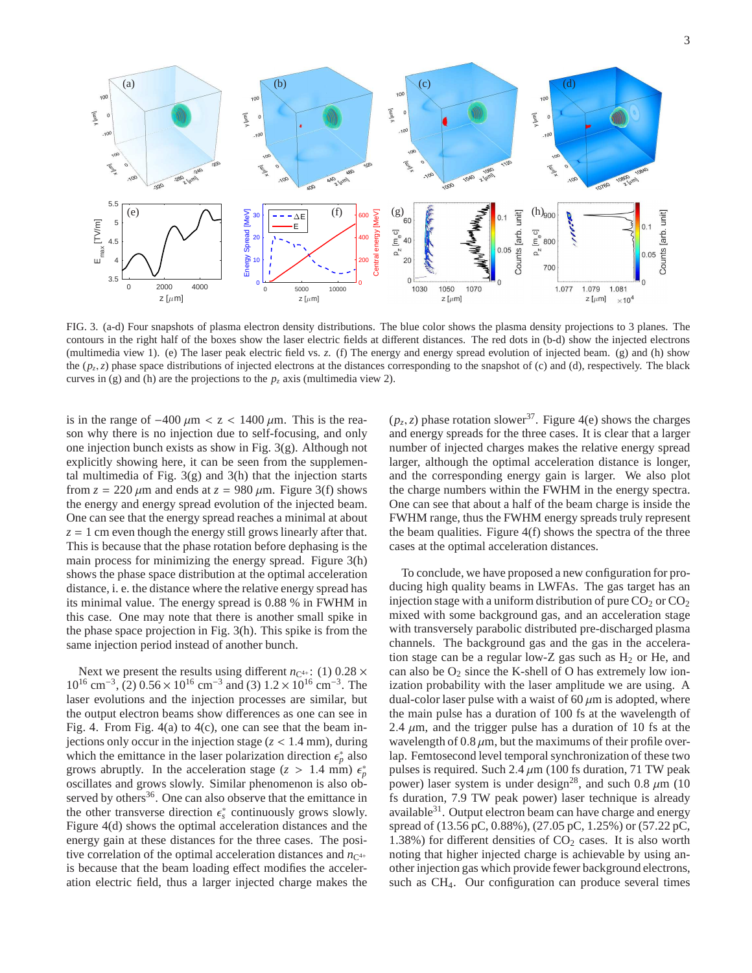

FIG. 3. (a-d) Four snapshots of plasma electron density distributions. The blue color shows the plasma density projections to 3 planes. The contours in the right half of the boxes show the laser electric fields at different distances. The red dots in (b-d) show the injected electrons (multimedia view 1). (e) The laser peak electric field vs. *z*. (f) The energy and energy spread evolution of injected beam. (g) and (h) show the  $(p_z, z)$  phase space distributions of injected electrons at the distances corresponding to the snapshot of (c) and (d), respectively. The black curves in (g) and (h) are the projections to the  $p_z$  axis (multimedia view 2).

is in the range of  $-400 \mu m < z < 1400 \mu m$ . This is the reason why there is no injection due to self-focusing, and only one injection bunch exists as show in Fig. 3(g). Although not explicitly showing here, it can be seen from the supplemental multimedia of Fig.  $3(g)$  and  $3(h)$  that the injection starts from  $z = 220 \mu m$  and ends at  $z = 980 \mu m$ . Figure 3(f) shows the energy and energy spread evolution of the injected beam. One can see that the energy spread reaches a minimal at about  $z = 1$  cm even though the energy still grows linearly after that. This is because that the phase rotation before dephasing is the main process for minimizing the energy spread. Figure 3(h) shows the phase space distribution at the optimal acceleration distance, i. e. the distance where the relative energy spread has its minimal value. The energy spread is 0.88 % in FWHM in this case. One may note that there is another small spike in the phase space projection in Fig. 3(h). This spike is from the same injection period instead of another bunch.

Next we present the results using different  $n_{\rm C^{4+}}$ : (1) 0.28  $\times$ 10<sup>16</sup> cm<sup>-3</sup>, (2) 0.56 × 10<sup>16</sup> cm<sup>-3</sup> and (3) 1.2 × 10<sup>16</sup> cm<sup>-3</sup>. The laser evolutions and the injection processes are similar, but the output electron beams show differences as one can see in Fig. 4. From Fig. 4(a) to 4(c), one can see that the beam injections only occur in the injection stage  $(z < 1.4$  mm), during which the emittance in the laser polarization direction  $\epsilon_p^*$  also grows abruptly. In the acceleration stage ( $z > 1.4$  mm)  $\epsilon_p^{\nu}$ oscillates and grows slowly. Similar phenomenon is also observed by others $36$ . One can also observe that the emittance in the other transverse direction  $\epsilon_s^*$  continuously grows slowly. Figure 4(d) shows the optimal acceleration distances and the energy gain at these distances for the three cases. The positive correlation of the optimal acceleration distances and  $n_{C<sup>4+}</sup>$ is because that the beam loading effect modifies the acceleration electric field, thus a larger injected charge makes the

 $(p_z, z)$  phase rotation slower<sup>37</sup>. Figure 4(e) shows the charges and energy spreads for the three cases. It is clear that a larger number of injected charges makes the relative energy spread larger, although the optimal acceleration distance is longer, and the corresponding energy gain is larger. We also plot the charge numbers within the FWHM in the energy spectra. One can see that about a half of the beam charge is inside the FWHM range, thus the FWHM energy spreads truly represent the beam qualities. Figure 4(f) shows the spectra of the three cases at the optimal acceleration distances.

To conclude, we have proposed a new configuration for producing high quality beams in LWFAs. The gas target has an injection stage with a uniform distribution of pure  $CO<sub>2</sub>$  or  $CO<sub>2</sub>$ mixed with some background gas, and an acceleration stage with transversely parabolic distributed pre-discharged plasma channels. The background gas and the gas in the acceleration stage can be a regular low-Z gas such as  $H_2$  or He, and can also be  $O_2$  since the K-shell of O has extremely low ionization probability with the laser amplitude we are using. A dual-color laser pulse with a waist of 60  $\mu$ m is adopted, where the main pulse has a duration of 100 fs at the wavelength of 2.4  $\mu$ m, and the trigger pulse has a duration of 10 fs at the wavelength of  $0.8 \mu m$ , but the maximums of their profile overlap. Femtosecond level temporal synchronization of these two pulses is required. Such  $2.4 \mu m$  (100 fs duration, 71 TW peak power) laser system is under design<sup>28</sup>, and such 0.8  $\mu$ m (10) fs duration, 7.9 TW peak power) laser technique is already available<sup>31</sup>. Output electron beam can have charge and energy spread of (13.56 pC, 0.88%), (27.05 pC, 1.25%) or (57.22 pC, 1.38%) for different densities of  $CO<sub>2</sub>$  cases. It is also worth noting that higher injected charge is achievable by using another injection gas which provide fewer background electrons, such as CH4. Our configuration can produce several times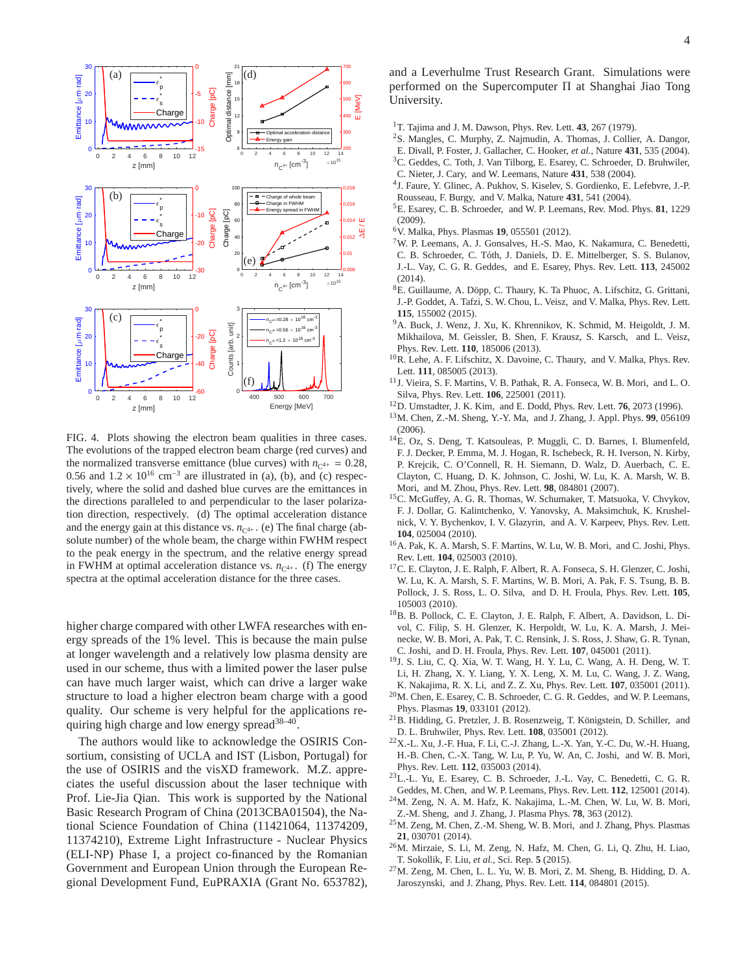

FIG. 4. Plots showing the electron beam qualities in three cases. The evolutions of the trapped electron beam charge (red curves) and the normalized transverse emittance (blue curves) with  $n_{C^{4+}} = 0.28$ , 0.56 and  $1.2 \times 10^{16}$  cm<sup>-3</sup> are illustrated in (a), (b), and (c) respectively, where the solid and dashed blue curves are the emittances in the directions paralleled to and perpendicular to the laser polarization direction, respectively. (d) The optimal acceleration distance and the energy gain at this distance vs.  $n_{C^{4+}}$ . (e) The final charge (absolute number) of the whole beam, the charge within FWHM respect to the peak energy in the spectrum, and the relative energy spread in FWHM at optimal acceleration distance vs.  $n_{C4+}$ . (f) The energy spectra at the optimal acceleration distance for the three cases.

higher charge compared with other LWFA researches with energy spreads of the 1% level. This is because the main pulse at longer wavelength and a relatively low plasma density are used in our scheme, thus with a limited power the laser pulse can have much larger waist, which can drive a larger wake structure to load a higher electron beam charge with a good quality. Our scheme is very helpful for the applications requiring high charge and low energy spread<sup>38-40</sup>.

The authors would like to acknowledge the OSIRIS Consortium, consisting of UCLA and IST (Lisbon, Portugal) for the use of OSIRIS and the visXD framework. M.Z. appreciates the useful discussion about the laser technique with Prof. Lie-Jia Qian. This work is supported by the National Basic Research Program of China (2013CBA01504), the National Science Foundation of China (11421064, 11374209, 11374210), Extreme Light Infrastructure - Nuclear Physics (ELI-NP) Phase I, a project co-financed by the Romanian Government and European Union through the European Regional Development Fund, EuPRAXIA (Grant No. 653782), and a Leverhulme Trust Research Grant. Simulations were performed on the Supercomputer Π at Shanghai Jiao Tong University.

- <sup>1</sup>T. Tajima and J. M. Dawson, Phys. Rev. Lett. **43**, 267 (1979).
- <sup>2</sup>S. Mangles, C. Murphy, Z. Najmudin, A. Thomas, J. Collier, A. Dangor,
- E. Divall, P. Foster, J. Gallacher, C. Hooker, *et al.*, Nature **431**, 535 (2004).
- <sup>3</sup>C. Geddes, C. Toth, J. Van Tilborg, E. Esarey, C. Schroeder, D. Bruhwiler, C. Nieter, J. Cary, and W. Leemans, Nature **431**, 538 (2004).
- 4 J. Faure, Y. Glinec, A. Pukhov, S. Kiselev, S. Gordienko, E. Lefebvre, J.-P. Rousseau, F. Burgy, and V. Malka, Nature **431**, 541 (2004).
- <sup>5</sup>E. Esarey, C. B. Schroeder, and W. P. Leemans, Rev. Mod. Phys. **81**, 1229 (2009).
- <sup>6</sup>V. Malka, Phys. Plasmas **19**, 055501 (2012).
- <sup>7</sup>W. P. Leemans, A. J. Gonsalves, H.-S. Mao, K. Nakamura, C. Benedetti, C. B. Schroeder, C. Tóth, J. Daniels, D. E. Mittelberger, S. S. Bulanov, J.-L. Vay, C. G. R. Geddes, and E. Esarey, Phys. Rev. Lett. **113**, 245002 (2014).
- ${}^{8}E.$  Guillaume, A. Döpp, C. Thaury, K. Ta Phuoc, A. Lifschitz, G. Grittani, J.-P. Goddet, A. Tafzi, S. W. Chou, L. Veisz, and V. Malka, Phys. Rev. Lett. **115**, 155002 (2015).
- <sup>9</sup>A. Buck, J. Wenz, J. Xu, K. Khrennikov, K. Schmid, M. Heigoldt, J. M. Mikhailova, M. Geissler, B. Shen, F. Krausz, S. Karsch, and L. Veisz, Phys. Rev. Lett. **110**, 185006 (2013).
- <sup>10</sup>R. Lehe, A. F. Lifschitz, X. Davoine, C. Thaury, and V. Malka, Phys. Rev. Lett. **111**, 085005 (2013).
- <sup>11</sup>J. Vieira, S. F. Martins, V. B. Pathak, R. A. Fonseca, W. B. Mori, and L. O. Silva, Phys. Rev. Lett. **106**, 225001 (2011).
- <sup>12</sup>D. Umstadter, J. K. Kim, and E. Dodd, Phys. Rev. Lett. **76**, 2073 (1996).
- <sup>13</sup>M. Chen, Z.-M. Sheng, Y.-Y. Ma, and J. Zhang, J. Appl. Phys. **99**, 056109 (2006).
- <sup>14</sup>E. Oz, S. Deng, T. Katsouleas, P. Muggli, C. D. Barnes, I. Blumenfeld, F. J. Decker, P. Emma, M. J. Hogan, R. Ischebeck, R. H. Iverson, N. Kirby, P. Krejcik, C. O'Connell, R. H. Siemann, D. Walz, D. Auerbach, C. E. Clayton, C. Huang, D. K. Johnson, C. Joshi, W. Lu, K. A. Marsh, W. B. Mori, and M. Zhou, Phys. Rev. Lett. **98**, 084801 (2007).
- <sup>15</sup>C. McGuffey, A. G. R. Thomas, W. Schumaker, T. Matsuoka, V. Chvykov, F. J. Dollar, G. Kalintchenko, V. Yanovsky, A. Maksimchuk, K. Krushelnick, V. Y. Bychenkov, I. V. Glazyrin, and A. V. Karpeev, Phys. Rev. Lett. **104**, 025004 (2010).
- <sup>16</sup>A. Pak, K. A. Marsh, S. F. Martins, W. Lu, W. B. Mori, and C. Joshi, Phys. Rev. Lett. **104**, 025003 (2010).
- <sup>17</sup>C. E. Clayton, J. E. Ralph, F. Albert, R. A. Fonseca, S. H. Glenzer, C. Joshi, W. Lu, K. A. Marsh, S. F. Martins, W. B. Mori, A. Pak, F. S. Tsung, B. B. Pollock, J. S. Ross, L. O. Silva, and D. H. Froula, Phys. Rev. Lett. **105**, 105003 (2010).
- <sup>18</sup>B. B. Pollock, C. E. Clayton, J. E. Ralph, F. Albert, A. Davidson, L. Divol, C. Filip, S. H. Glenzer, K. Herpoldt, W. Lu, K. A. Marsh, J. Meinecke, W. B. Mori, A. Pak, T. C. Rensink, J. S. Ross, J. Shaw, G. R. Tynan, C. Joshi, and D. H. Froula, Phys. Rev. Lett. **107**, 045001 (2011).
- <sup>19</sup>J. S. Liu, C. Q. Xia, W. T. Wang, H. Y. Lu, C. Wang, A. H. Deng, W. T. Li, H. Zhang, X. Y. Liang, Y. X. Leng, X. M. Lu, C. Wang, J. Z. Wang, K. Nakajima, R. X. Li, and Z. Z. Xu, Phys. Rev. Lett. **107**, 035001 (2011).
- <sup>20</sup>M. Chen, E. Esarey, C. B. Schroeder, C. G. R. Geddes, and W. P. Leemans, Phys. Plasmas **19**, 033101 (2012).
- $21B$ . Hidding, G. Pretzler, J. B. Rosenzweig, T. Königstein, D. Schiller, and D. L. Bruhwiler, Phys. Rev. Lett. **108**, 035001 (2012).
- <sup>22</sup>X.-L. Xu, J.-F. Hua, F. Li, C.-J. Zhang, L.-X. Yan, Y.-C. Du, W.-H. Huang, H.-B. Chen, C.-X. Tang, W. Lu, P. Yu, W. An, C. Joshi, and W. B. Mori, Phys. Rev. Lett. **112**, 035003 (2014).
- <sup>23</sup>L.-L. Yu, E. Esarey, C. B. Schroeder, J.-L. Vay, C. Benedetti, C. G. R. Geddes, M. Chen, and W. P. Leemans, Phys. Rev. Lett. **112**, 125001 (2014).
- <sup>24</sup>M. Zeng, N. A. M. Hafz, K. Nakajima, L.-M. Chen, W. Lu, W. B. Mori, Z.-M. Sheng, and J. Zhang, J. Plasma Phys. **78**, 363 (2012).
- <sup>25</sup>M. Zeng, M. Chen, Z.-M. Sheng, W. B. Mori, and J. Zhang, Phys. Plasmas **21**, 030701 (2014).
- <sup>26</sup>M. Mirzaie, S. Li, M. Zeng, N. Hafz, M. Chen, G. Li, Q. Zhu, H. Liao, T. Sokollik, F. Liu, *et al.*, Sci. Rep. **5** (2015).
- <sup>27</sup>M. Zeng, M. Chen, L. L. Yu, W. B. Mori, Z. M. Sheng, B. Hidding, D. A. Jaroszynski, and J. Zhang, Phys. Rev. Lett. **114**, 084801 (2015).